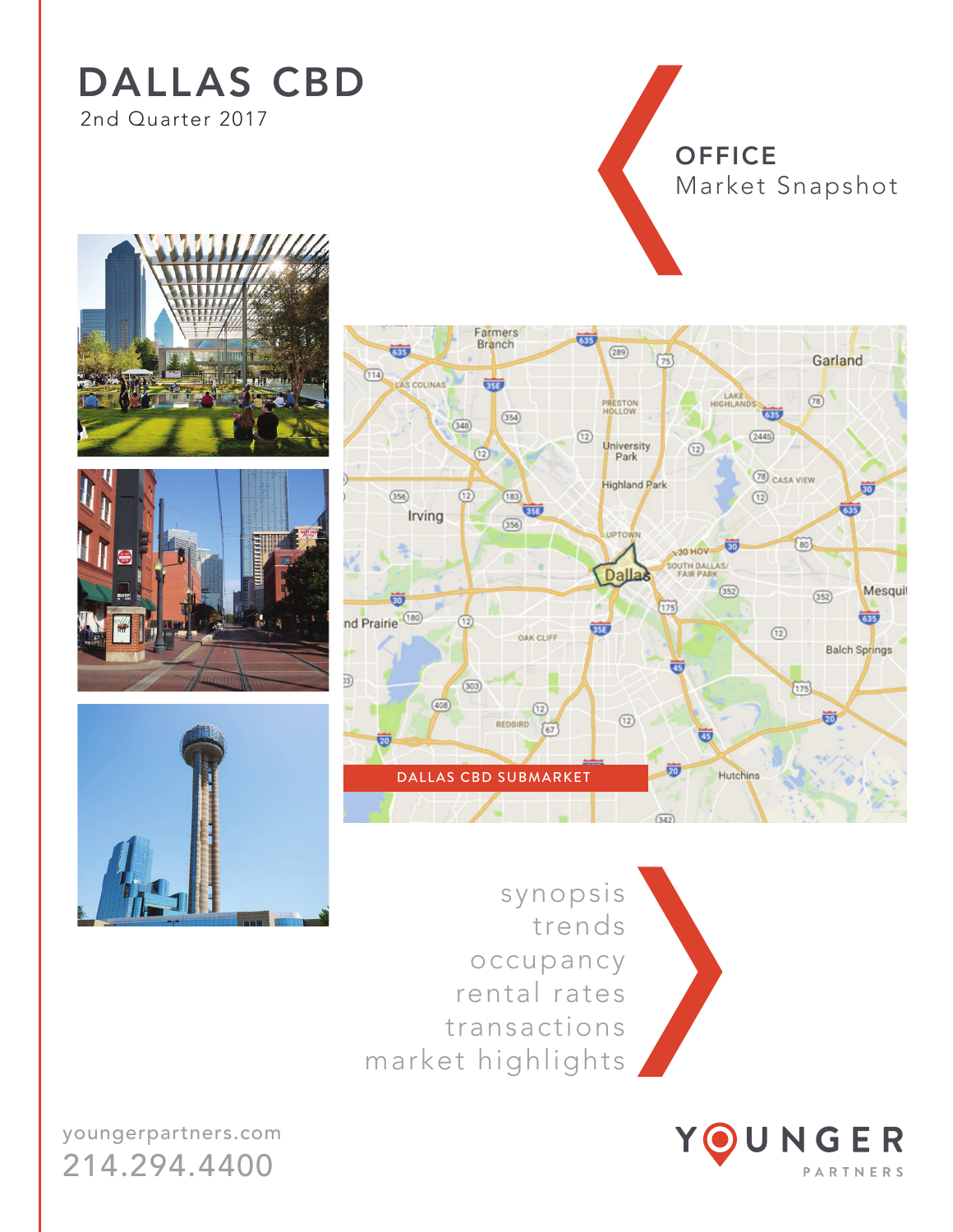## DALLAS CBD 2nd Quarter 2017

**OFFICE** Market Snapshot









Œ

synopsis trends occupancy rental rates transactions market highlights

Farmers



youngerpartners.com 214.294.4400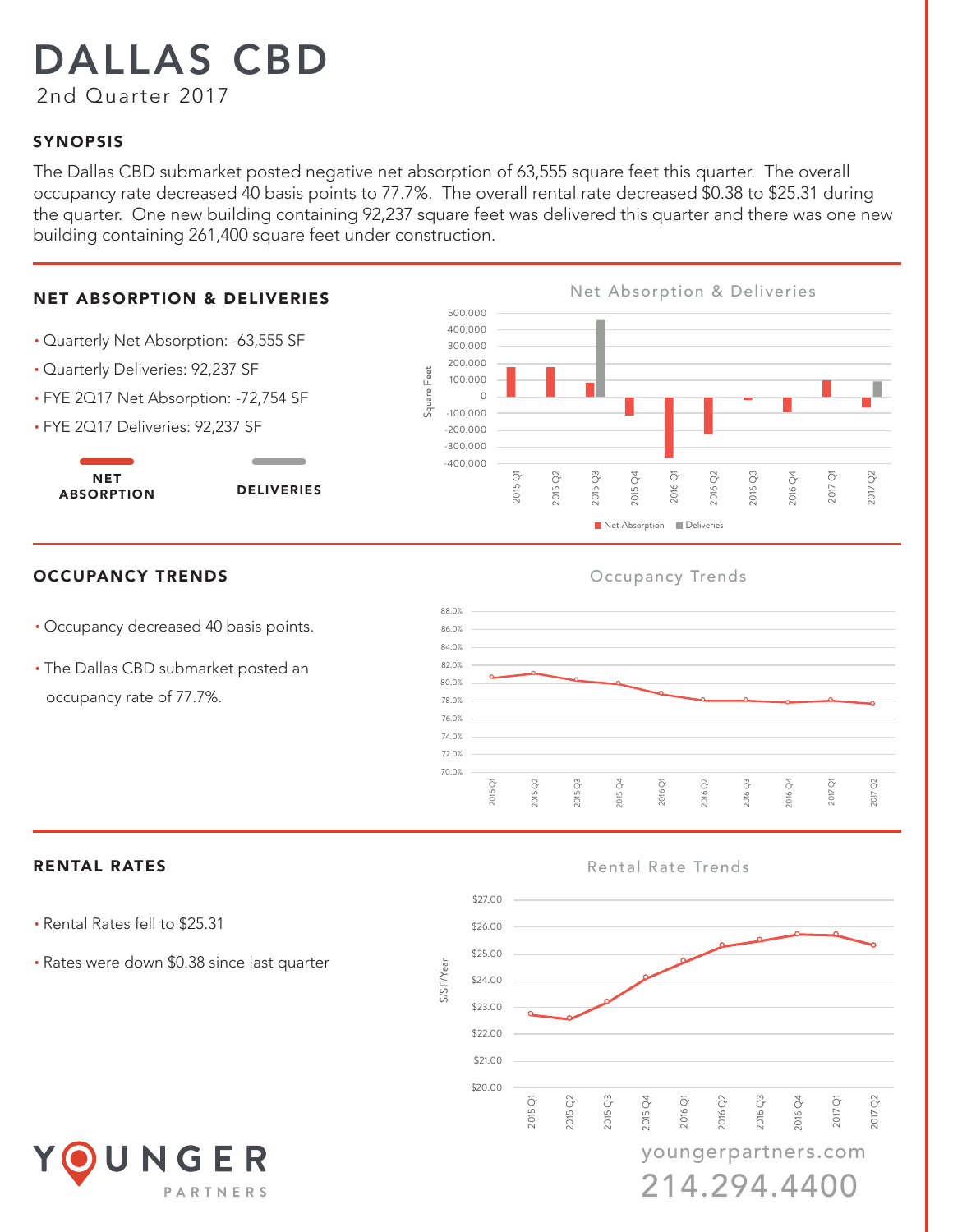# DALLAS CBD

2nd Quarter 2017

### SYNOPSIS

The Dallas CBD submarket posted negative net absorption of 63,555 square feet this quarter. The overall occupancy rate decreased 40 basis points to 77.7%. The overall rental rate decreased \$0.38 to \$25.31 during the quarter. One new building containing 92,237 square feet was delivered this quarter and there was one new building containing 261,400 square feet under construction.

#### **NET ABSORPTION & DELIVERIES**

- Quarterly Net Absorption: -63,555 SF
- Quarterly Deliveries: 92,237 SF
- FYE 2Q17 Net Absorption: -72,754 SF
- FYE 2Q17 Deliveries: 92,237 SF

NET ABSORPTION DELIVERIES



#### **OCCUPANCY TRENDS** OCCUPANCY TRENDS Occupancy Trends

- Occupancy decreased 40 basis points.
- The Dallas CBD submarket posted an occupancy rate of 77.7%.



#### RENTAL RATES **RENTAL RATES Rental Rate Trends**

- Rental Rates fell to \$25.31
- Rates were down \$0.38 since last quarter



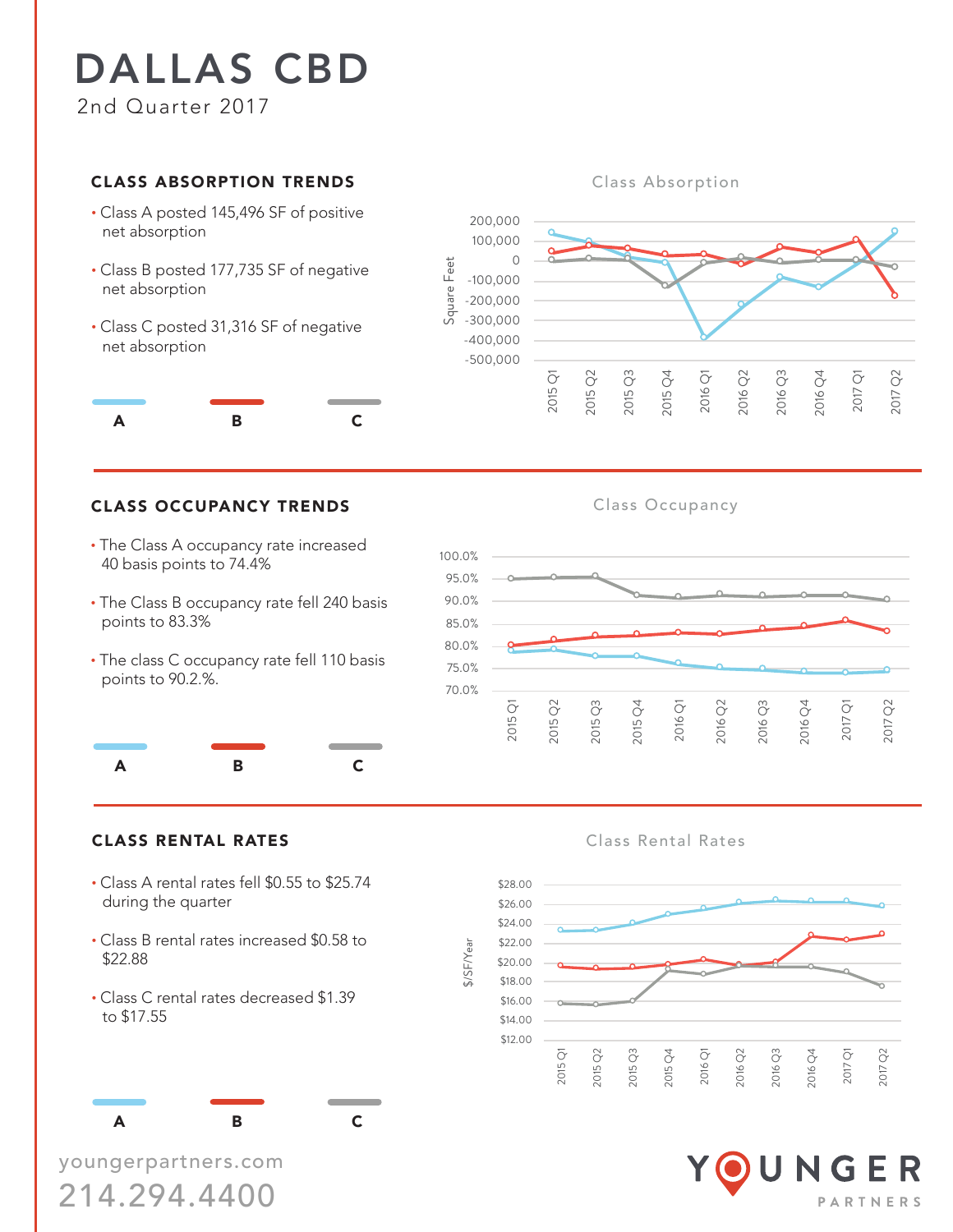## DALLAS CBD 2nd Quarter 2017

#### **CLASS ABSORPTION TRENDS**

- Class A posted 145,496 SF of positive net absorption
- Class B posted 177,735 SF of negative net absorption
- Class C posted 31,316 SF of negative net absorption



### CLASS OCCUPANCY TRENDS Class Occupancy

- The Class A occupancy rate increased 40 basis points to 74.4%
- The Class B occupancy rate fell 240 basis points to 83.3%
- The class C occupancy rate fell 110 basis points to 90.2.%.



#### CLASS RENTAL RATES **CLASS RENTAL RATES Class Rental Rates**

- Class A rental rates fell \$0.55 to \$25.74 during the quarter
- Class B rental rates increased \$0.58 to \$22.88
- Class C rental rates decreased \$1.39 to \$17.55

A B C

youngerpartners.com 214.294.4400

#### **Class Absorption**